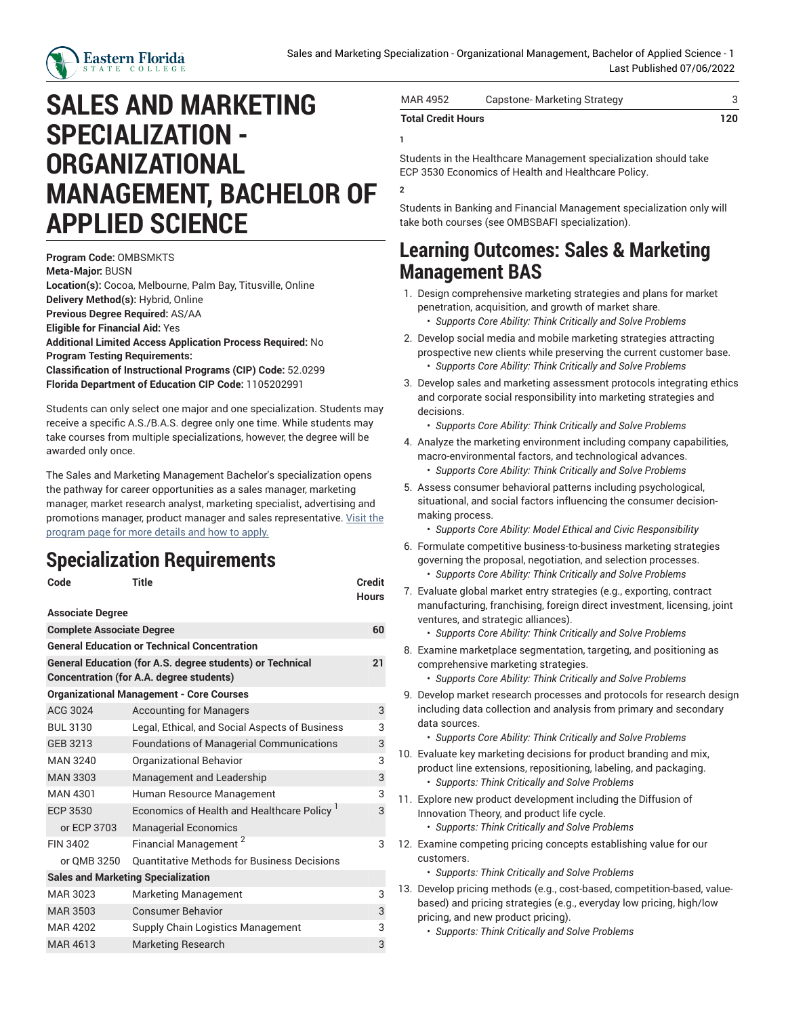

## **SALES AND MARKETING SPECIALIZATION - ORGANIZATIONAL MANAGEMENT, BACHELOR OF APPLIED SCIENCE**

**Program Code:** OMBSMKTS **Meta-Major:** BUSN **Location(s):** Cocoa, Melbourne, Palm Bay, Titusville, Online **Delivery Method(s):** Hybrid, Online **Previous Degree Required:** AS/AA **Eligible for Financial Aid:** Yes **Additional Limited Access Application Process Required:** No **Program Testing Requirements: Classification of Instructional Programs (CIP) Code:** 52.0299 **Florida Department of Education CIP Code:** 1105202991

Students can only select one major and one specialization. Students may receive a specific A.S./B.A.S. degree only one time. While students may take courses from multiple specializations, however, the degree will be awarded only once.

The Sales and Marketing Management Bachelor's specialization opens the pathway for career opportunities as a sales manager, marketing manager, market research analyst, marketing specialist, advertising and promotions manager, product manager and sales representative. [Visit the](https://www.easternflorida.edu/academics/bachelors-degrees/organizational-management/sales-marketing-bas/) [program](https://www.easternflorida.edu/academics/bachelors-degrees/organizational-management/sales-marketing-bas/) page for more details and how to apply.

## **Specialization Requirements**

| Code                                      | <b>Title</b>                                                                                                        | <b>Credit</b><br><b>Hours</b> |
|-------------------------------------------|---------------------------------------------------------------------------------------------------------------------|-------------------------------|
| <b>Associate Degree</b>                   |                                                                                                                     |                               |
| <b>Complete Associate Degree</b>          |                                                                                                                     | 60                            |
|                                           | <b>General Education or Technical Concentration</b>                                                                 |                               |
|                                           | <b>General Education (for A.S. degree students) or Technical</b><br><b>Concentration (for A.A. degree students)</b> | 21                            |
|                                           | <b>Organizational Management - Core Courses</b>                                                                     |                               |
| ACG 3024                                  | <b>Accounting for Managers</b>                                                                                      | 3                             |
| <b>BUL 3130</b>                           | Legal, Ethical, and Social Aspects of Business                                                                      | 3                             |
| GEB 3213                                  | <b>Foundations of Managerial Communications</b>                                                                     | 3                             |
| <b>MAN 3240</b>                           | Organizational Behavior                                                                                             | 3                             |
| <b>MAN 3303</b>                           | Management and Leadership                                                                                           | 3                             |
| <b>MAN 4301</b>                           | Human Resource Management                                                                                           | 3                             |
| ECP 3530                                  | Economics of Health and Healthcare Policy                                                                           | 3                             |
| or ECP 3703                               | <b>Managerial Economics</b>                                                                                         |                               |
| <b>FIN 3402</b>                           | Financial Management <sup>2</sup>                                                                                   | 3                             |
| or OMB 3250                               | <b>Ouantitative Methods for Business Decisions</b>                                                                  |                               |
| <b>Sales and Marketing Specialization</b> |                                                                                                                     |                               |
| MAR 3023                                  | <b>Marketing Management</b>                                                                                         | 3                             |
| MAR 3503                                  | <b>Consumer Behavior</b>                                                                                            | 3                             |
| <b>MAR 4202</b>                           | Supply Chain Logistics Management                                                                                   | 3                             |
| <b>MAR 4613</b>                           | <b>Marketing Research</b>                                                                                           | 3                             |

| MAR 4952                  | Capstone- Marketing Strategy |     |
|---------------------------|------------------------------|-----|
| <b>Total Credit Hours</b> |                              | 120 |

**1**

**2**

Students in the Healthcare Management specialization should take ECP 3530 Economics of Health and Healthcare Policy.

Students in Banking and Financial Management specialization only will take both courses (see OMBSBAFI specialization).

## **Learning Outcomes: Sales & Marketing Management BAS**

- 1. Design comprehensive marketing strategies and plans for market penetration, acquisition, and growth of market share.
	- *Supports Core Ability: Think Critically and Solve Problems*
- 2. Develop social media and mobile marketing strategies attracting prospective new clients while preserving the current customer base.
	- *Supports Core Ability: Think Critically and Solve Problems*
- 3. Develop sales and marketing assessment protocols integrating ethics and corporate social responsibility into marketing strategies and decisions.
	- *Supports Core Ability: Think Critically and Solve Problems*
- 4. Analyze the marketing environment including company capabilities, macro-environmental factors, and technological advances. • *Supports Core Ability: Think Critically and Solve Problems*
- 5. Assess consumer behavioral patterns including psychological, situational, and social factors influencing the consumer decisionmaking process.
	- *Supports Core Ability: Model Ethical and Civic Responsibility*
- 6. Formulate competitive business-to-business marketing strategies governing the proposal, negotiation, and selection processes. • *Supports Core Ability: Think Critically and Solve Problems*
- 7. Evaluate global market entry strategies (e.g., exporting, contract manufacturing, franchising, foreign direct investment, licensing, joint ventures, and strategic alliances).

• *Supports Core Ability: Think Critically and Solve Problems*

8. Examine marketplace segmentation, targeting, and positioning as comprehensive marketing strategies.

• *Supports Core Ability: Think Critically and Solve Problems*

- 9. Develop market research processes and protocols for research design including data collection and analysis from primary and secondary data sources.
	- *Supports Core Ability: Think Critically and Solve Problems*
- 10. Evaluate key marketing decisions for product branding and mix, product line extensions, repositioning, labeling, and packaging. • *Supports: Think Critically and Solve Problems*
- 11. Explore new product development including the Diffusion of Innovation Theory, and product life cycle. • *Supports: Think Critically and Solve Problems*
- 12. Examine competing pricing concepts establishing value for our customers.
	- *Supports: Think Critically and Solve Problems*
- 13. Develop pricing methods (e.g., cost-based, competition-based, valuebased) and pricing strategies (e.g., everyday low pricing, high/low pricing, and new product pricing).
	- *Supports: Think Critically and Solve Problems*